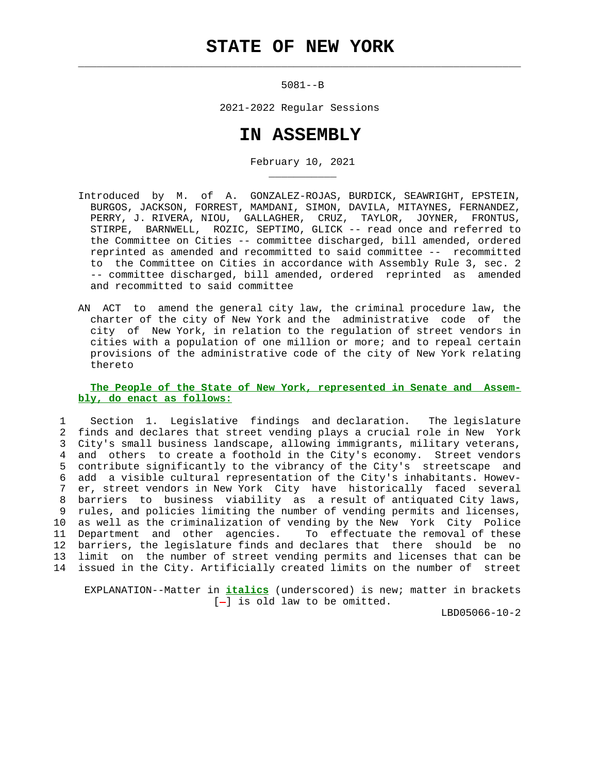$\mathcal{L}_\text{max} = \frac{1}{2} \sum_{i=1}^{n} \frac{1}{2} \sum_{i=1}^{n} \frac{1}{2} \sum_{i=1}^{n} \frac{1}{2} \sum_{i=1}^{n} \frac{1}{2} \sum_{i=1}^{n} \frac{1}{2} \sum_{i=1}^{n} \frac{1}{2} \sum_{i=1}^{n} \frac{1}{2} \sum_{i=1}^{n} \frac{1}{2} \sum_{i=1}^{n} \frac{1}{2} \sum_{i=1}^{n} \frac{1}{2} \sum_{i=1}^{n} \frac{1}{2} \sum_{i=1}^{n} \frac{1$ 

\_\_\_\_\_\_\_\_\_\_\_

5081--B

2021-2022 Regular Sessions

## **IN ASSEMBLY**

February 10, 2021

- Introduced by M. of A. GONZALEZ-ROJAS, BURDICK, SEAWRIGHT, EPSTEIN, BURGOS, JACKSON, FORREST, MAMDANI, SIMON, DAVILA, MITAYNES, FERNANDEZ, PERRY, J. RIVERA, NIOU, GALLAGHER, CRUZ, TAYLOR, JOYNER, FRONTUS, STIRPE, BARNWELL, ROZIC, SEPTIMO, GLICK -- read once and referred to the Committee on Cities -- committee discharged, bill amended, ordered reprinted as amended and recommitted to said committee -- recommitted to the Committee on Cities in accordance with Assembly Rule 3, sec. 2 -- committee discharged, bill amended, ordered reprinted as amended and recommitted to said committee
- AN ACT to amend the general city law, the criminal procedure law, the charter of the city of New York and the administrative code of the city of New York, in relation to the regulation of street vendors in cities with a population of one million or more; and to repeal certain provisions of the administrative code of the city of New York relating thereto

## **The People of the State of New York, represented in Senate and Assem bly, do enact as follows:**

 1 Section 1. Legislative findings and declaration. The legislature 2 finds and declares that street vending plays a crucial role in New York 3 City's small business landscape, allowing immigrants, military veterans, 4 and others to create a foothold in the City's economy. Street vendors 5 contribute significantly to the vibrancy of the City's streetscape and 6 add a visible cultural representation of the City's inhabitants. Howev er, street vendors in New York City have historically faced several 8 barriers to business viability as a result of antiquated City laws, 9 rules, and policies limiting the number of vending permits and licenses, 10 as well as the criminalization of vending by the New York City Police 11 Department and other agencies. To effectuate the removal of these 12 barriers, the legislature finds and declares that there should be no 13 limit on the number of street vending permits and licenses that can be 14 issued in the City. Artificially created limits on the number of street

 EXPLANATION--Matter in **italics** (underscored) is new; matter in brackets  $[-]$  is old law to be omitted.

LBD05066-10-2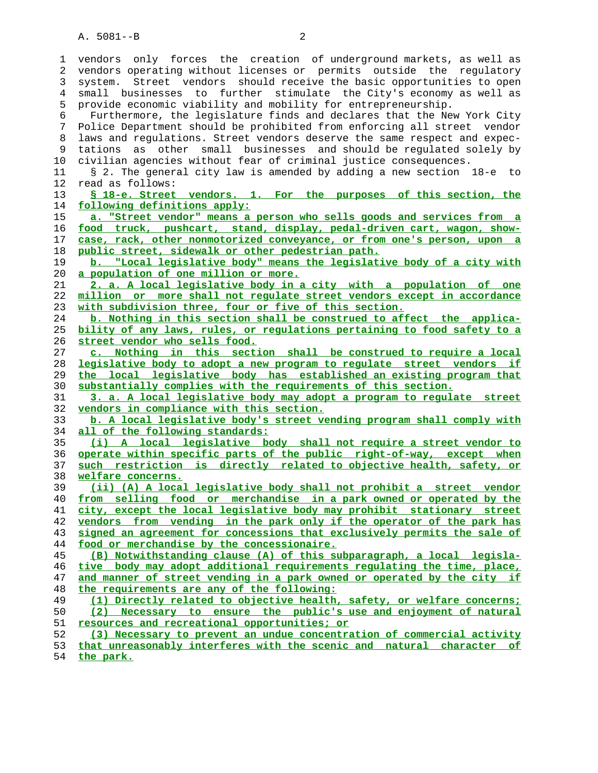1 vendors only forces the creation of underground markets, as well as 2 vendors operating without licenses or permits outside the regulatory 3 system. Street vendors should receive the basic opportunities to open 4 small businesses to further stimulate the City's economy as well as 5 provide economic viability and mobility for entrepreneurship. 6 Furthermore, the legislature finds and declares that the New York City 7 Police Department should be prohibited from enforcing all street vendor 8 laws and regulations. Street vendors deserve the same respect and expec- 9 tations as other small businesses and should be regulated solely by 10 civilian agencies without fear of criminal justice consequences. 11 § 2. The general city law is amended by adding a new section 18-e to 12 read as follows: **§ 18-e. Street vendors. 1. For the purposes of this section, the following definitions apply: a. "Street vendor" means a person who sells goods and services from a food truck, pushcart, stand, display, pedal-driven cart, wagon, show- case, rack, other nonmotorized conveyance, or from one's person, upon a public street, sidewalk or other pedestrian path. b. "Local legislative body" means the legislative body of a city with a population of one million or more. 2. a. A local legislative body in a city with a population of one million or more shall not regulate street vendors except in accordance with subdivision three, four or five of this section. b. Nothing in this section shall be construed to affect the applica- bility of any laws, rules, or regulations pertaining to food safety to a street vendor who sells food. c. Nothing in this section shall be construed to require a local legislative body to adopt a new program to regulate street vendors if the local legislative body has established an existing program that substantially complies with the requirements of this section. 3. a. A local legislative body may adopt a program to regulate street vendors in compliance with this section. b. A local legislative body's street vending program shall comply with all of the following standards: (i) A local legislative body shall not require a street vendor to operate within specific parts of the public right-of-way, except when such restriction is directly related to objective health, safety, or welfare concerns. (ii) (A) A local legislative body shall not prohibit a street vendor from selling food or merchandise in a park owned or operated by the city, except the local legislative body may prohibit stationary street vendors from vending in the park only if the operator of the park has signed an agreement for concessions that exclusively permits the sale of food or merchandise by the concessionaire. (B) Notwithstanding clause (A) of this subparagraph, a local legisla- tive body may adopt additional requirements regulating the time, place, and manner of street vending in a park owned or operated by the city if the requirements are any of the following: (1) Directly related to objective health, safety, or welfare concerns; (2) Necessary to ensure the public's use and enjoyment of natural resources and recreational opportunities; or (3) Necessary to prevent an undue concentration of commercial activity that unreasonably interferes with the scenic and natural character of the park.**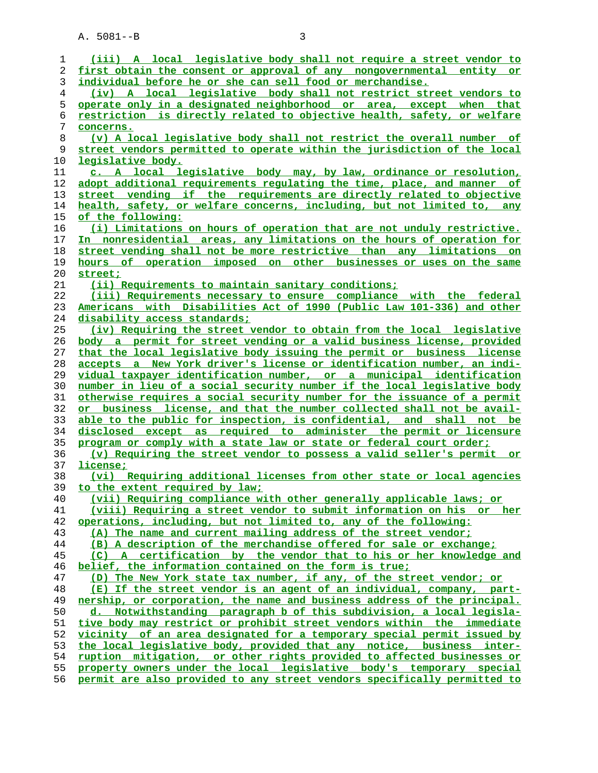| 1              | (iii) A local legislative body shall not require a street vendor to                                                                              |
|----------------|--------------------------------------------------------------------------------------------------------------------------------------------------|
| 2              | first obtain the consent or approval of any nongovernmental entity or                                                                            |
| 3              | individual before he or she can sell food or merchandise.                                                                                        |
| $\overline{4}$ | (iv) A local legislative body shall not restrict street vendors to                                                                               |
| 5              | operate only in a designated neighborhood or area, except when that                                                                              |
| 6              | restriction is directly related to objective health, safety, or welfare                                                                          |
|                |                                                                                                                                                  |
| 7              | concerns.                                                                                                                                        |
| 8              | (v) A local legislative body shall not restrict the overall number of                                                                            |
| 9              | street vendors permitted to operate within the jurisdiction of the local                                                                         |
| 10             | legislative body.                                                                                                                                |
| 11             | c. A local legislative body may, by law, ordinance or resolution,                                                                                |
| 12             | adopt additional requirements requlating the time, place, and manner of                                                                          |
| 13             | street vending if the requirements are directly related to objective                                                                             |
| 14             | health, safety, or welfare concerns, including, but not limited to, any                                                                          |
| 15             | of the following:                                                                                                                                |
| 16             | (i) Limitations on hours of operation that are not unduly restrictive.                                                                           |
| 17             | In nonresidential areas, any limitations on the hours of operation for                                                                           |
| 18             | street vending shall not be more restrictive than any limitations on                                                                             |
| 19             | hours of operation imposed on other businesses or uses on the same                                                                               |
| 20             | street;                                                                                                                                          |
| 21             | (ii) Requirements to maintain sanitary conditions;                                                                                               |
| 22             | (iii) Requirements necessary to ensure compliance with the federal                                                                               |
| 23             | Americans with Disabilities Act of 1990 (Public Law 101-336) and other                                                                           |
| 24             | disability access standards;                                                                                                                     |
| 25             | (iv) Requiring the street vendor to obtain from the local legislative                                                                            |
| 26             | body a permit for street vending or a valid business license, provided                                                                           |
| 27             | that the local legislative body issuing the permit or business license                                                                           |
| 28             | accepts a New York driver's license or identification number, an indi-                                                                           |
| 29             | vidual taxpayer identification number, or a municipal identification                                                                             |
| 30             | number in lieu of a social security number if the local legislative body                                                                         |
| 31             | otherwise requires a social security number for the issuance of a permit                                                                         |
| 32             | or business license, and that the number collected shall not be avail-                                                                           |
| 33             | able to the public for inspection, is confidential, and shall not be                                                                             |
| 34             | disclosed except as required to administer the permit or licensure                                                                               |
| 35             | program or comply with a state law or state or federal court order:                                                                              |
| 36             | (v) Requiring the street vendor to possess a valid seller's permit or                                                                            |
| 37             | license;                                                                                                                                         |
| 38             | (vi) Requiring additional licenses from other state or local agencies                                                                            |
| 39             | to the extent required by law;                                                                                                                   |
| 40             | (vii) Requiring compliance with other generally applicable laws; or                                                                              |
| 41             | (viii) Requiring a street vendor to submit information on his or her                                                                             |
| 42             | operations, including, but not limited to, any of the following:                                                                                 |
| 43             | (A) The name and current mailing address of the street vendor;                                                                                   |
| 44             | (B) A description of the merchandise offered for sale or exchange;                                                                               |
| 45             | (C) A certification by the vendor that to his or her knowledge and                                                                               |
| 46             | belief, the information contained on the form is true;                                                                                           |
| 47             | (D) The New York state tax number, if any, of the street vendor; or                                                                              |
| 48             | (E) If the street vendor is an agent of an individual, company, part-                                                                            |
| 49             | nership, or corporation, the name and business address of the principal.                                                                         |
| 50             | d. Notwithstanding paragraph b of this subdivision, a local legisla-                                                                             |
| 51             | tive body may restrict or prohibit street vendors within the immediate                                                                           |
| 52             | vicinity of an area designated for a temporary special permit issued by                                                                          |
| 53             | the local legislative body, provided that any notice, business inter-                                                                            |
| 54             | ruption mitigation, or other rights provided to affected businesses or                                                                           |
| 55             |                                                                                                                                                  |
| 56             | property owners under the local legislative body's temporary special<br>permit are also provided to any street vendors specifically permitted to |
|                |                                                                                                                                                  |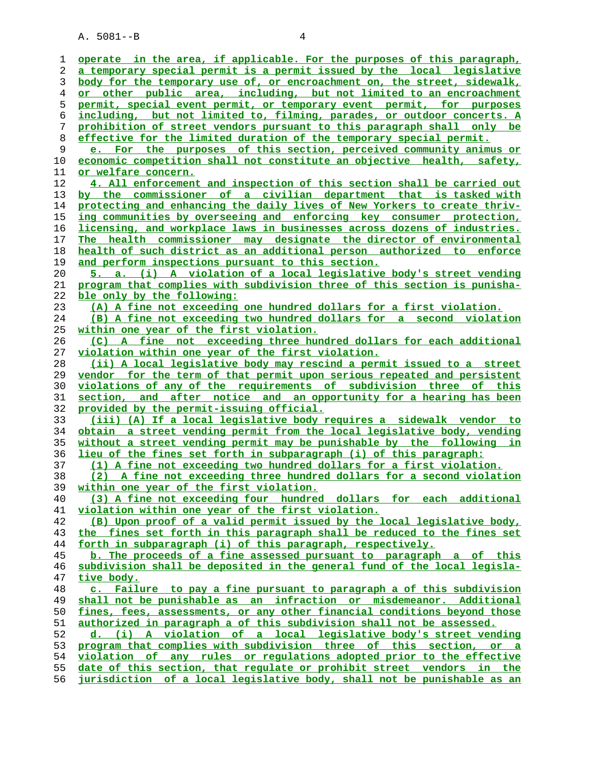A. 5081--B 4

**operate in the area, if applicable. For the purposes of this paragraph, a temporary special permit is a permit issued by the local legislative body for the temporary use of, or encroachment on, the street, sidewalk, or other public area, including, but not limited to an encroachment permit, special event permit, or temporary event permit, for purposes including, but not limited to, filming, parades, or outdoor concerts. A prohibition of street vendors pursuant to this paragraph shall only be effective for the limited duration of the temporary special permit. e. For the purposes of this section, perceived community animus or economic competition shall not constitute an objective health, safety, or welfare concern. 4. All enforcement and inspection of this section shall be carried out by the commissioner of a civilian department that is tasked with protecting and enhancing the daily lives of New Yorkers to create thriv- ing communities by overseeing and enforcing key consumer protection, licensing, and workplace laws in businesses across dozens of industries. The health commissioner may designate the director of environmental health of such district as an additional person authorized to enforce and perform inspections pursuant to this section. 5. a. (i) A violation of a local legislative body's street vending program that complies with subdivision three of this section is punisha- ble only by the following: (A) A fine not exceeding one hundred dollars for a first violation. (B) A fine not exceeding two hundred dollars for a second violation within one year of the first violation. (C) A fine not exceeding three hundred dollars for each additional violation within one year of the first violation. (ii) A local legislative body may rescind a permit issued to a street vendor for the term of that permit upon serious repeated and persistent violations of any of the requirements of subdivision three of this section, and after notice and an opportunity for a hearing has been provided by the permit-issuing official. (iii) (A) If a local legislative body requires a sidewalk vendor to obtain a street vending permit from the local legislative body, vending without a street vending permit may be punishable by the following in lieu of the fines set forth in subparagraph (i) of this paragraph: (1) A fine not exceeding two hundred dollars for a first violation. (2) A fine not exceeding three hundred dollars for a second violation within one year of the first violation. (3) A fine not exceeding four hundred dollars for each additional violation within one year of the first violation. (B) Upon proof of a valid permit issued by the local legislative body, the fines set forth in this paragraph shall be reduced to the fines set forth in subparagraph (i) of this paragraph, respectively. b. The proceeds of a fine assessed pursuant to paragraph a of this subdivision shall be deposited in the general fund of the local legisla- tive body. c. Failure to pay a fine pursuant to paragraph a of this subdivision shall not be punishable as an infraction or misdemeanor. Additional** fines, fees, assessments, or any other financial conditions beyond those **authorized in paragraph a of this subdivision shall not be assessed. d. (i) A violation of a local legislative body's street vending program that complies with subdivision three of this section, or a violation of any rules or regulations adopted prior to the effective date of this section, that regulate or prohibit street vendors in the jurisdiction of a local legislative body, shall not be punishable as an**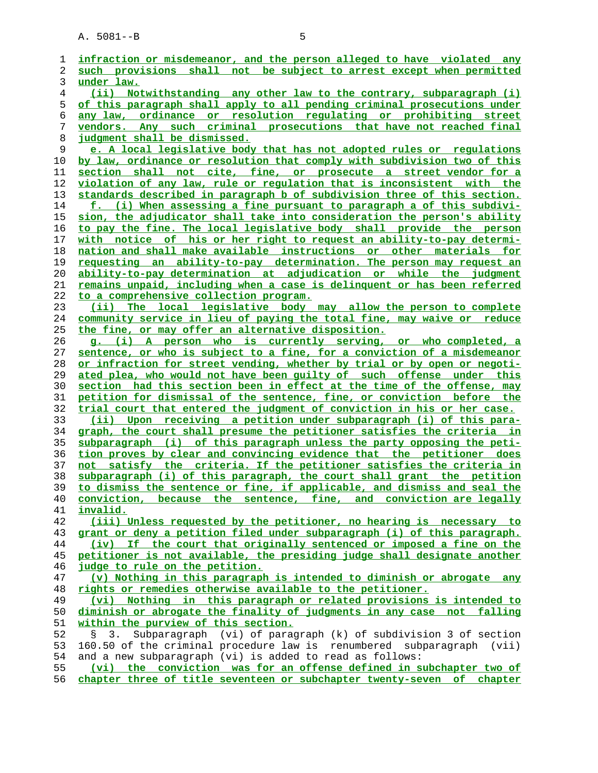A. 5081--B 5

| 1  | infraction or misdemeanor, and the person alleged to have violated any     |
|----|----------------------------------------------------------------------------|
| 2  | such provisions shall not be subject to arrest except when permitted       |
| 3  | under law.                                                                 |
| 4  | (ii) Notwithstanding any other law to the contrary, subparagraph (i)       |
| 5  | of this paragraph shall apply to all pending criminal prosecutions under   |
| 6  | any law, ordinance or resolution requlating or prohibiting street          |
| 7  | vendors. Any such criminal prosecutions that have not reached final        |
| 8  | judgment shall be dismissed.                                               |
| 9  | e. A local legislative body that has not adopted rules or regulations      |
| 10 | by law, ordinance or resolution that comply with subdivision two of this   |
| 11 | section shall not cite, fine, or prosecute a street vendor for a           |
| 12 | violation of any law, rule or regulation that is inconsistent with the     |
| 13 | standards described in paragraph b of subdivision three of this section.   |
| 14 | f. (i) When assessing a fine pursuant to paragraph a of this subdivi-      |
| 15 | sion, the adjudicator shall take into consideration the person's ability   |
| 16 | to pay the fine. The local legislative body shall provide the person       |
| 17 | with notice of his or her right to request an ability-to-pay determi-      |
| 18 | nation and shall make available instructions or other materials for        |
| 19 | requesting an ability-to-pay determination. The person may request an      |
| 20 | ability-to-pay determination at adjudication or while the judgment         |
| 21 | remains unpaid, including when a case is delinguent or has been referred   |
| 22 | to a comprehensive collection program.                                     |
| 23 | (ii) The local legislative body may allow the person to complete           |
| 24 | community service in lieu of paying the total fine, may waive or reduce    |
| 25 | the fine, or may offer an alternative disposition.                         |
| 26 | q. (i) A person who is currently serving, or who completed, a              |
| 27 | sentence, or who is subject to a fine, for a conviction of a misdemeanor   |
| 28 | or infraction for street vending, whether by trial or by open or negoti-   |
| 29 | ated plea, who would not have been guilty of such offense under this       |
| 30 | section had this section been in effect at the time of the offense, may    |
| 31 | petition for dismissal of the sentence, fine, or conviction before the     |
| 32 | trial court that entered the judgment of conviction in his or her case.    |
| 33 | (ii) Upon receiving a petition under subparagraph (i) of this para-        |
| 34 | graph, the court shall presume the petitioner satisfies the criteria in    |
| 35 | subparagraph (i) of this paragraph unless the party opposing the peti-     |
| 36 | tion proves by clear and convincing evidence that the petitioner does      |
| 37 | not satisfy the criteria. If the petitioner satisfies the criteria in      |
| 38 | subparagraph (i) of this paragraph, the court shall grant the petition     |
| 39 | to dismiss the sentence or fine, if applicable, and dismiss and seal the   |
| 40 | conviction, because the sentence, fine, and conviction are legally         |
| 41 | invalid.                                                                   |
| 42 | (iii) Unless requested by the petitioner, no hearing is necessary to       |
| 43 | grant or deny a petition filed under subparagraph (i) of this paragraph.   |
| 44 | (iv) If the court that originally sentenced or imposed a fine on the       |
| 45 | petitioner is not available, the presiding judge shall designate another   |
| 46 | judge to rule on the petition.                                             |
| 47 | (v) Nothing in this paragraph is intended to diminish or abrogate any      |
| 48 | rights or remedies otherwise available to the petitioner.                  |
| 49 | (vi) Nothing in this paragraph or related provisions is intended to        |
| 50 | diminish or abrogate the finality of judgments in any case not falling     |
| 51 | within the purview of this section.                                        |
| 52 | Subparagraph (vi) of paragraph (k) of subdivision 3 of section<br>Ş.<br>3. |
| 53 | 160.50 of the criminal procedure law is renumbered subparagraph (vii)      |
| 54 | and a new subparagraph (vi) is added to read as follows:                   |
| 55 | (vi) the conviction was for an offense defined in subchapter two of        |
| 56 | chapter three of title seventeen or subchapter twenty-seven of chapter     |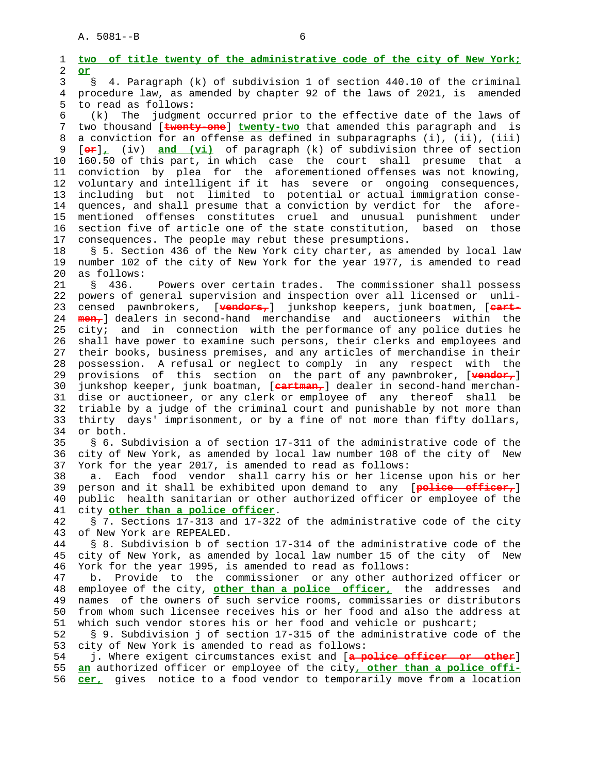1 **two of title twenty of the administrative code of the city of New York;** 2 **or** 3 § 4. Paragraph (k) of subdivision 1 of section 440.10 of the criminal 4 procedure law, as amended by chapter 92 of the laws of 2021, is amended 5 to read as follows: 6 (k) The judgment occurred prior to the effective date of the laws of 7 two thousand [**twenty-one**] **twenty-two** that amended this paragraph and is 8 a conviction for an offense as defined in subparagraphs (i), (ii), (iii) 9 [**or**]**,** (iv) **and (vi)** of paragraph (k) of subdivision three of section 10 160.50 of this part, in which case the court shall presume that a 11 conviction by plea for the aforementioned offenses was not knowing, 12 voluntary and intelligent if it has severe or ongoing consequences, 13 including but not limited to potential or actual immigration conse- 14 quences, and shall presume that a conviction by verdict for the afore- 15 mentioned offenses constitutes cruel and unusual punishment under 16 section five of article one of the state constitution, based on those 17 consequences. The people may rebut these presumptions. 18 § 5. Section 436 of the New York city charter, as amended by local law 19 number 102 of the city of New York for the year 1977, is amended to read 20 as follows: 21 § 436. Powers over certain trades. The commissioner shall possess 22 powers of general supervision and inspection over all licensed or unli- 23 censed pawnbrokers, [**vendors,**] junkshop keepers, junk boatmen, [**cart-** 24 **men,**] dealers in second-hand merchandise and auctioneers within the 25 city; and in connection with the performance of any police duties he 26 shall have power to examine such persons, their clerks and employees and 27 their books, business premises, and any articles of merchandise in their 28 possession. A refusal or neglect to comply in any respect with the 29 provisions of this section on the part of any pawnbroker, [**vendor,**] 30 junkshop keeper, junk boatman, [**cartman,**] dealer in second-hand merchan- 31 dise or auctioneer, or any clerk or employee of any thereof shall be 32 triable by a judge of the criminal court and punishable by not more than 33 thirty days' imprisonment, or by a fine of not more than fifty dollars, 34 or both. 35 § 6. Subdivision a of section 17-311 of the administrative code of the 36 city of New York, as amended by local law number 108 of the city of New 37 York for the year 2017, is amended to read as follows: 38 a. Each food vendor shall carry his or her license upon his or her 39 person and it shall be exhibited upon demand to any [**police officer,**] 40 public health sanitarian or other authorized officer or employee of the 41 city **other than a police officer**. 42 § 7. Sections 17-313 and 17-322 of the administrative code of the city 43 of New York are REPEALED. 44 § 8. Subdivision b of section 17-314 of the administrative code of the 45 city of New York, as amended by local law number 15 of the city of New 46 York for the year 1995, is amended to read as follows: 47 b. Provide to the commissioner or any other authorized officer or 48 employee of the city, **other than a police officer,** the addresses and 49 names of the owners of such service rooms, commissaries or distributors 50 from whom such licensee receives his or her food and also the address at 51 which such vendor stores his or her food and vehicle or pushcart; 52 § 9. Subdivision j of section 17-315 of the administrative code of the 53 city of New York is amended to read as follows: 54 j. Where exigent circumstances exist and [**a police officer or other**] 55 **an** authorized officer or employee of the city**, other than a police offi-** 56 **cer,** gives notice to a food vendor to temporarily move from a location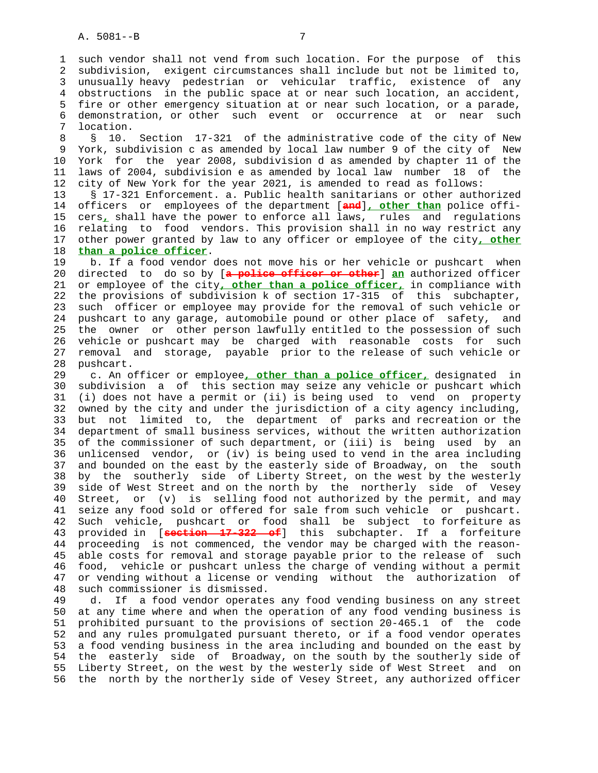1 such vendor shall not vend from such location. For the purpose of this 2 subdivision, exigent circumstances shall include but not be limited to, 3 unusually heavy pedestrian or vehicular traffic, existence of any 4 obstructions in the public space at or near such location, an accident, 5 fire or other emergency situation at or near such location, or a parade, 6 demonstration, or other such event or occurrence at or near such 7 location.

 8 § 10. Section 17-321 of the administrative code of the city of New 9 York, subdivision c as amended by local law number 9 of the city of New 10 York for the year 2008, subdivision d as amended by chapter 11 of the 11 laws of 2004, subdivision e as amended by local law number 18 of the 12 city of New York for the year 2021, is amended to read as follows:

 13 § 17-321 Enforcement. a. Public health sanitarians or other authorized 14 officers or employees of the department [**and**]**, other than** police offi- 15 cers**,** shall have the power to enforce all laws, rules and regulations 16 relating to food vendors. This provision shall in no way restrict any 17 other power granted by law to any officer or employee of the city**, other** 18 **than a police officer**.

 19 b. If a food vendor does not move his or her vehicle or pushcart when 20 directed to do so by [**a police officer or other**] **an** authorized officer 21 or employee of the city**, other than a police officer,** in compliance with 22 the provisions of subdivision k of section 17-315 of this subchapter, 23 such officer or employee may provide for the removal of such vehicle or 24 pushcart to any garage, automobile pound or other place of safety, and 25 the owner or other person lawfully entitled to the possession of such 26 vehicle or pushcart may be charged with reasonable costs for such 27 removal and storage, payable prior to the release of such vehicle or 28 pushcart.

 29 c. An officer or employee**, other than a police officer,** designated in 30 subdivision a of this section may seize any vehicle or pushcart which 31 (i) does not have a permit or (ii) is being used to vend on property 32 owned by the city and under the jurisdiction of a city agency including, 33 but not limited to, the department of parks and recreation or the 34 department of small business services, without the written authorization 35 of the commissioner of such department, or (iii) is being used by an 36 unlicensed vendor, or (iv) is being used to vend in the area including 37 and bounded on the east by the easterly side of Broadway, on the south 38 by the southerly side of Liberty Street, on the west by the westerly 39 side of West Street and on the north by the northerly side of Vesey 40 Street, or (v) is selling food not authorized by the permit, and may 41 seize any food sold or offered for sale from such vehicle or pushcart. 42 Such vehicle, pushcart or food shall be subject to forfeiture as 43 provided in [**section 17-322 of**] this subchapter. If a forfeiture 44 proceeding is not commenced, the vendor may be charged with the reason- 45 able costs for removal and storage payable prior to the release of such 46 food, vehicle or pushcart unless the charge of vending without a permit 47 or vending without a license or vending without the authorization of 48 such commissioner is dismissed.

 49 d. If a food vendor operates any food vending business on any street 50 at any time where and when the operation of any food vending business is 51 prohibited pursuant to the provisions of section 20-465.1 of the code 52 and any rules promulgated pursuant thereto, or if a food vendor operates 53 a food vending business in the area including and bounded on the east by 54 the easterly side of Broadway, on the south by the southerly side of 55 Liberty Street, on the west by the westerly side of West Street and on 56 the north by the northerly side of Vesey Street, any authorized officer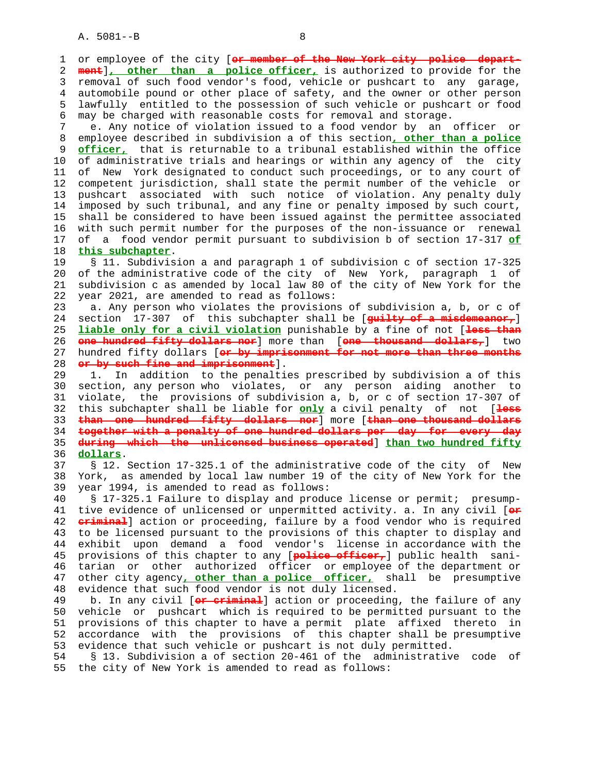1 or employee of the city [or member of the New York city police 2 **ment**]**, other than a police officer,** is authorized to provide for the 3 removal of such food vendor's food, vehicle or pushcart to any garage, 4 automobile pound or other place of safety, and the owner or other person 5 lawfully entitled to the possession of such vehicle or pushcart or food 6 may be charged with reasonable costs for removal and storage. 7 e. Any notice of violation issued to a food vendor by an officer or 8 employee described in subdivision a of this section**, other than a police** 9 **officer,** that is returnable to a tribunal established within the office<br>10 of administrative trials and hearings or within any agency of the city of administrative trials and hearings or within any agency of the city 11 of New York designated to conduct such proceedings, or to any court of 12 competent jurisdiction, shall state the permit number of the vehicle or 13 pushcart associated with such notice of violation. Any penalty duly 14 imposed by such tribunal, and any fine or penalty imposed by such court, 15 shall be considered to have been issued against the permittee associated 16 with such permit number for the purposes of the non-issuance or renewal 17 of a food vendor permit pursuant to subdivision b of section 17-317 **of** 18 **this subchapter**. 19 § 11. Subdivision a and paragraph 1 of subdivision c of section 17-325 20 of the administrative code of the city of New York, paragraph 1 of 21 subdivision c as amended by local law 80 of the city of New York for the 22 year 2021, are amended to read as follows: 23 a. Any person who violates the provisions of subdivision a, b, or c of 24 section 17-307 of this subchapter shall be [**guilty of a misdemeanor,**] 25 **liable only for a civil violation** punishable by a fine of not [**less than** 26 **one hundred fifty dollars nor**] more than [**one thousand dollars,**] two 27 hundred fifty dollars [**or by imprisonment for not more than three months** 28 **or by such fine and imprisonment**]. 29 1. In addition to the penalties prescribed by subdivision a of this 30 section, any person who violates, or any person aiding another to 31 violate, the provisions of subdivision a, b, or c of section 17-307 of 32 this subchapter shall be liable for **only** a civil penalty of not [**less** 33 **than one hundred fifty dollars nor**] more [**than one thousand dollars** 34 **together with a penalty of one hundred dollars per day for every day** 35 **during which the unlicensed business operated**] **than two hundred fifty** 36 **dollars**. 37 § 12. Section 17-325.1 of the administrative code of the city of New 38 York, as amended by local law number 19 of the city of New York for the 39 year 1994, is amended to read as follows: 40 § 17-325.1 Failure to display and produce license or permit; presump- 41 tive evidence of unlicensed or unpermitted activity. a. In any civil [**or** 42 **criminal**] action or proceeding, failure by a food vendor who is required 43 to be licensed pursuant to the provisions of this chapter to display and 44 exhibit upon demand a food vendor's license in accordance with the 45 provisions of this chapter to any [**police officer,**] public health sani- 46 tarian or other authorized officer or employee of the department or 47 other city agency**, other than a police officer,** shall be presumptive 48 evidence that such food vendor is not duly licensed. 49 b. In any civil [**or criminal**] action or proceeding, the failure of any 50 vehicle or pushcart which is required to be permitted pursuant to the 51 provisions of this chapter to have a permit plate affixed thereto in 52 accordance with the provisions of this chapter shall be presumptive 53 evidence that such vehicle or pushcart is not duly permitted. 54 § 13. Subdivision a of section 20-461 of the administrative code of

55 the city of New York is amended to read as follows: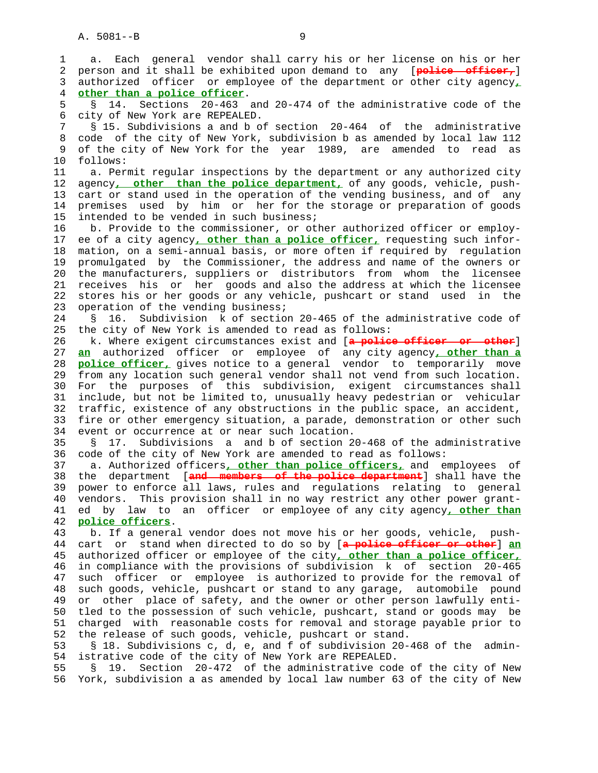1 a. Each general vendor shall carry his or her license on his or her 2 person and it shall be exhibited upon demand to any [**police officer,**] 3 authorized officer or employee of the department or other city agency**,** 4 **other than a police officer**. 5 § 14. Sections 20-463 and 20-474 of the administrative code of the 6 city of New York are REPEALED. 7 § 15. Subdivisions a and b of section 20-464 of the administrative 8 code of the city of New York, subdivision b as amended by local law 112 9 of the city of New York for the year 1989, are amended to read as 10 follows: 11 a. Permit regular inspections by the department or any authorized city 12 agency**, other than the police department,** of any goods, vehicle, push- 13 cart or stand used in the operation of the vending business, and of any 14 premises used by him or her for the storage or preparation of goods 15 intended to be vended in such business; 16 b. Provide to the commissioner, or other authorized officer or employ- 17 ee of a city agency**, other than a police officer,** requesting such infor- 18 mation, on a semi-annual basis, or more often if required by regulation 19 promulgated by the Commissioner, the address and name of the owners or 20 the manufacturers, suppliers or distributors from whom the licensee 21 receives his or her goods and also the address at which the licensee 22 stores his or her goods or any vehicle, pushcart or stand used in the 23 operation of the vending business; 24 § 16. Subdivision k of section 20-465 of the administrative code of 25 the city of New York is amended to read as follows: 26 k. Where exigent circumstances exist and [**a police officer or other**] 27 **an** authorized officer or employee of any city agency**, other than a** 28 **police officer,** gives notice to a general vendor to temporarily move 29 from any location such general vendor shall not vend from such location. 30 For the purposes of this subdivision, exigent circumstances shall 31 include, but not be limited to, unusually heavy pedestrian or vehicular 32 traffic, existence of any obstructions in the public space, an accident, 33 fire or other emergency situation, a parade, demonstration or other such 34 event or occurrence at or near such location. 35 § 17. Subdivisions a and b of section 20-468 of the administrative 36 code of the city of New York are amended to read as follows: 37 a. Authorized officers**, other than police officers,** and employees of 38 the department [**and members of the police department**] shall have the 39 power to enforce all laws, rules and regulations relating to general 40 vendors. This provision shall in no way restrict any other power grant- 41 ed by law to an officer or employee of any city agency**, other than** 42 **police officers**. 43 b. If a general vendor does not move his or her goods, vehicle, push- 44 cart or stand when directed to do so by [**a police officer or other**] **an** 45 authorized officer or employee of the city**, other than a police officer,** 46 in compliance with the provisions of subdivision k of section 20-465 47 such officer or employee is authorized to provide for the removal of 48 such goods, vehicle, pushcart or stand to any garage, automobile pound 49 or other place of safety, and the owner or other person lawfully enti- 50 tled to the possession of such vehicle, pushcart, stand or goods may be 51 charged with reasonable costs for removal and storage payable prior to 52 the release of such goods, vehicle, pushcart or stand. 53 § 18. Subdivisions c, d, e, and f of subdivision 20-468 of the admin- 54 istrative code of the city of New York are REPEALED.

 55 § 19. Section 20-472 of the administrative code of the city of New 56 York, subdivision a as amended by local law number 63 of the city of New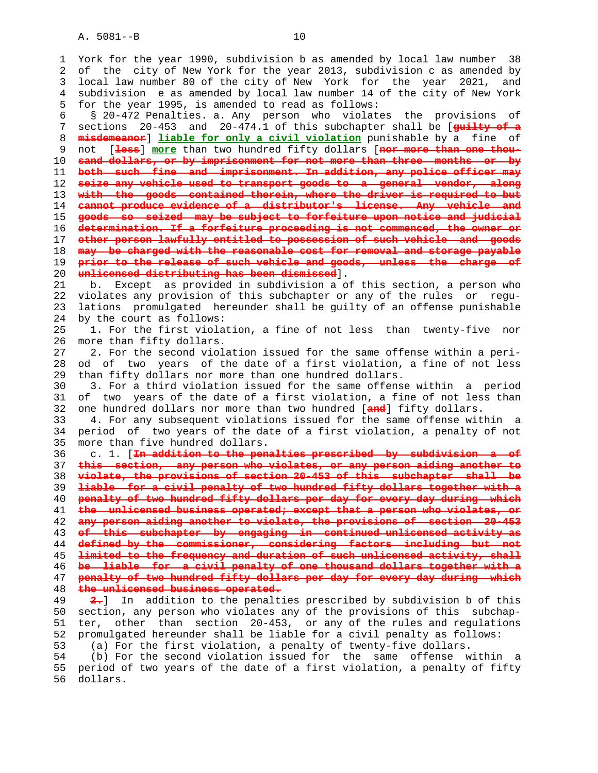A. 5081--B 10

 1 York for the year 1990, subdivision b as amended by local law number 38 2 of the city of New York for the year 2013, subdivision c as amended by 3 local law number 80 of the city of New York for the year 2021, and 4 subdivision e as amended by local law number 14 of the city of New York 5 for the year 1995, is amended to read as follows:

 6 § 20-472 Penalties. a. Any person who violates the provisions of 7 sections 20-453 and 20-474.1 of this subchapter shall be [**guilty of a misdemeanor**] **liable for only a civil violation** punishable by a fine of 9 not [**less**] **more** than two hundred fifty dollars [**nor more than one thou- sand dollars, or by imprisonment for not more than three months or by both such fine and imprisonment. In addition, any police officer may seize any vehicle used to transport goods to a general vendor, along with the goods contained therein, where the driver is required to but cannot produce evidence of a distributor's license. Any vehicle and goods so seized may be subject to forfeiture upon notice and judicial determination. If a forfeiture proceeding is not commenced, the owner or other person lawfully entitled to possession of such vehicle and goods may be charged with the reasonable cost for removal and storage payable prior to the release of such vehicle and goods, unless the charge of unlicensed distributing has been dismissed**].

 21 b. Except as provided in subdivision a of this section, a person who 22 violates any provision of this subchapter or any of the rules or regu- 23 lations promulgated hereunder shall be guilty of an offense punishable 24 by the court as follows:

 25 1. For the first violation, a fine of not less than twenty-five nor 26 more than fifty dollars.

 27 2. For the second violation issued for the same offense within a peri- 28 od of two years of the date of a first violation, a fine of not less 29 than fifty dollars nor more than one hundred dollars.

 30 3. For a third violation issued for the same offense within a period 31 of two years of the date of a first violation, a fine of not less than 32 one hundred dollars nor more than two hundred [**and**] fifty dollars.

 33 4. For any subsequent violations issued for the same offense within a 34 period of two years of the date of a first violation, a penalty of not 35 more than five hundred dollars.

 36 c. 1. [**In addition to the penalties prescribed by subdivision a of this section, any person who violates, or any person aiding another to violate, the provisions of section 20-453 of this subchapter shall be liable for a civil penalty of two hundred fifty dollars together with a penalty of two hundred fifty dollars per day for every day during which the unlicensed business operated; except that a person who violates, or any person aiding another to violate, the provisions of section 20-453 of this subchapter by engaging in continued unlicensed activity as defined by the commissioner, considering factors including but not limited to the frequency and duration of such unlicensed activity, shall be liable for a civil penalty of one thousand dollars together with a penalty of two hundred fifty dollars per day for every day during which the unlicensed business operated.**

 49 **2.**] In addition to the penalties prescribed by subdivision b of this 50 section, any person who violates any of the provisions of this subchap- 51 ter, other than section 20-453, or any of the rules and regulations 52 promulgated hereunder shall be liable for a civil penalty as follows: 53 (a) For the first violation, a penalty of twenty-five dollars.

 54 (b) For the second violation issued for the same offense within a 55 period of two years of the date of a first violation, a penalty of fifty 56 dollars.